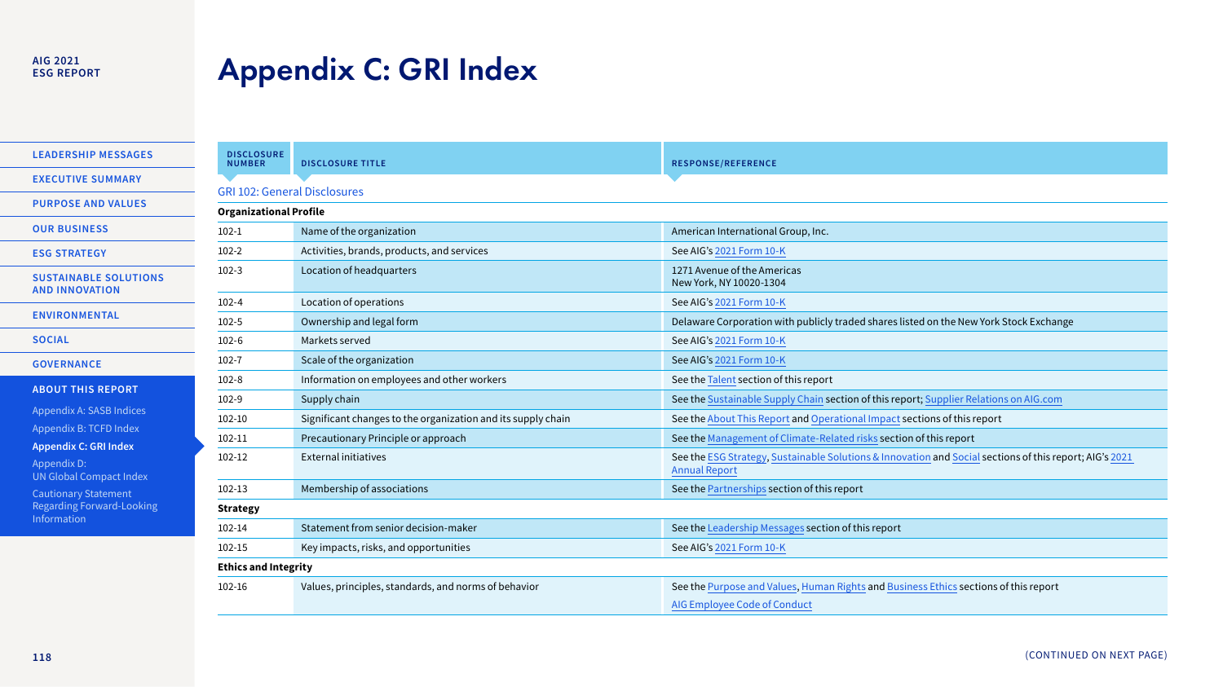#### **AIG 2021 ESG REPORT**

### <span id="page-0-0"></span>Appendix C: GRI Index

**[LEADERSHIP MESSAGES](#page--1-6)  [EXECUTIVE SUMMARY](#page--1-3)** 

**PURPOSE AND VALUES** 

**OUR BUSINESS** 

**[ESG STRATEGY](#page--1-4)** 

**SUSTAINABLE SOLUTIONS AND INNOVATION** 

**[ENVIRONMENTAL](#page--1-0)** 

**SOCIAL** 

**[GOVERNANCE](#page--1-5)** 

**[ABOUT THIS REPORT](#page--1-0)** 

[Appendix A: SASB Indices](#page--1-3)

[Appendix B: TCFD Index](#page--1-3)

**[Appendix C: GRI Index](#page-0-0)** 

Appendix D: [UN Global Compact Index](#page--1-3)

Cautionary Statement [Regarding Forward-Looking](#page--1-3)  Information

| <b>DISCLOSURE</b><br><b>NUMBER</b>  | <b>DISCLOSURE TITLE</b>                                      | <b>RESPONSE/REFERENCE</b>                                                                                                       |  |  |
|-------------------------------------|--------------------------------------------------------------|---------------------------------------------------------------------------------------------------------------------------------|--|--|
| <b>GRI 102: General Disclosures</b> |                                                              |                                                                                                                                 |  |  |
| <b>Organizational Profile</b>       |                                                              |                                                                                                                                 |  |  |
| $102 - 1$                           | Name of the organization                                     | American International Group, Inc.                                                                                              |  |  |
| $102-2$                             | Activities, brands, products, and services                   | See AIG's 2021 Form 10-K                                                                                                        |  |  |
| $102-3$                             | Location of headquarters                                     | 1271 Avenue of the Americas<br>New York, NY 10020-1304                                                                          |  |  |
| $102 - 4$                           | Location of operations                                       | See AIG's 2021 Form 10-K                                                                                                        |  |  |
| $102 - 5$                           | Ownership and legal form                                     | Delaware Corporation with publicly traded shares listed on the New York Stock Exchange                                          |  |  |
| $102 - 6$                           | Markets served                                               | See AIG's 2021 Form 10-K                                                                                                        |  |  |
| $102 - 7$                           | Scale of the organization                                    | See AIG's 2021 Form 10-K                                                                                                        |  |  |
| $102 - 8$                           | Information on employees and other workers                   | See the Talent section of this report                                                                                           |  |  |
| 102-9                               | Supply chain                                                 | See the Sustainable Supply Chain section of this report; Supplier Relations on AIG.com                                          |  |  |
| 102-10                              | Significant changes to the organization and its supply chain | See the About This Report and Operational Impact sections of this report                                                        |  |  |
| 102-11                              | Precautionary Principle or approach                          | See the Management of Climate-Related risks section of this report                                                              |  |  |
| 102-12                              | <b>External initiatives</b>                                  | See the ESG Strategy, Sustainable Solutions & Innovation and Social sections of this report; AIG's 2021<br><b>Annual Report</b> |  |  |
| 102-13                              | Membership of associations                                   | See the Partnerships section of this report                                                                                     |  |  |
| <b>Strategy</b>                     |                                                              |                                                                                                                                 |  |  |
| 102-14                              | Statement from senior decision-maker                         | See the Leadership Messages section of this report                                                                              |  |  |
| 102-15                              | Key impacts, risks, and opportunities                        | See AIG's 2021 Form 10-K                                                                                                        |  |  |
| <b>Ethics and Integrity</b>         |                                                              |                                                                                                                                 |  |  |
| 102-16                              | Values, principles, standards, and norms of behavior         | See the Purpose and Values, Human Rights and Business Ethics sections of this report                                            |  |  |
|                                     |                                                              | AIG Employee Code of Conduct                                                                                                    |  |  |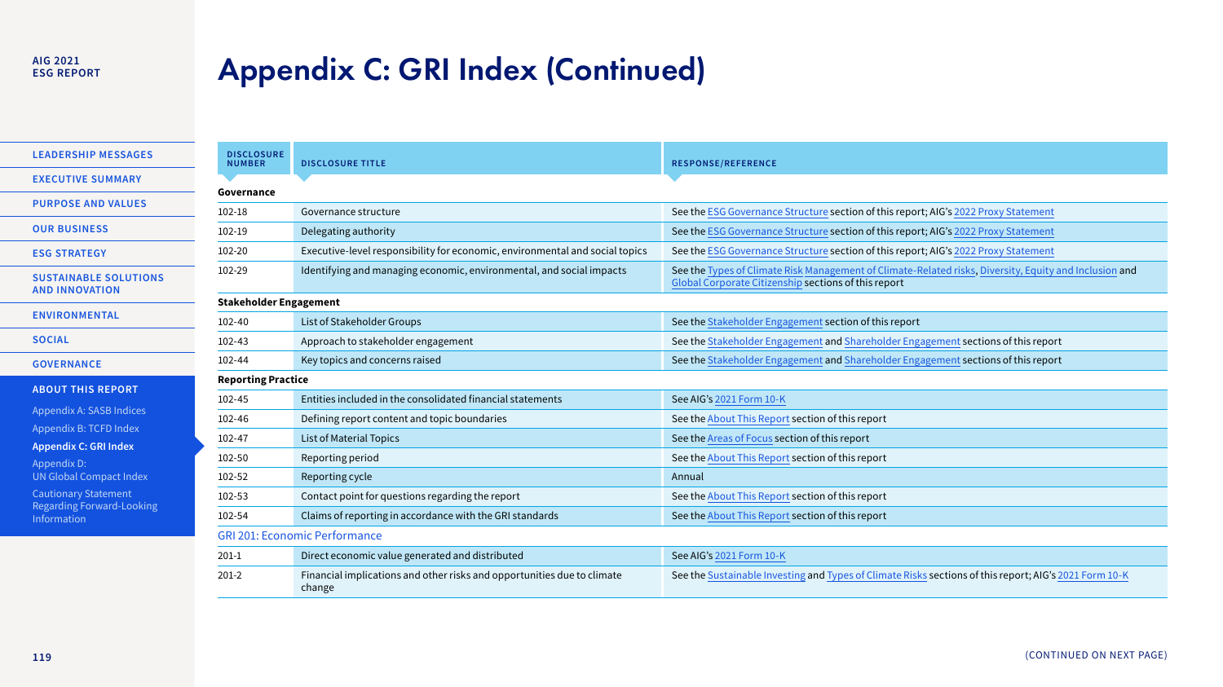### **ESG REPORT**

# Alg 2021<br>ESG REPORT **Appendix C: GRI Index (Continued)**

**[LEADERSHIP MESSAGES](#page--1-6)  [EXECUTIVE SUMMARY](#page--1-3)  PURPOSE AND VALUES OUR BUSINESS [ESG STRATEGY](#page--1-4)  SUSTAINABLE SOLUTIONS AND INNOVATION** 

**[ENVIRONMENTAL](#page--1-0)** 

**[GOVERNANCE](#page--1-5)** 

**SOCIAL** 

**[ABOUT THIS REPORT](#page--1-0)** 

[Appendix A: SASB Indices](#page--1-3)

[Appendix B: TCFD Index](#page--1-3)

**[Appendix C: GRI Index](#page-0-0)** 

Appendix D: [UN Global Compact Index](#page--1-3)

Cautionary Statement [Regarding Forward-Looking](#page--1-3)  Information

| <b>DISCLOSURE</b><br><b>NUMBER</b>   | <b>DISCLOSURE TITLE</b>                                                           | <b>RESPONSE/REFERENCE</b>                                                                                                                                      |  |  |
|--------------------------------------|-----------------------------------------------------------------------------------|----------------------------------------------------------------------------------------------------------------------------------------------------------------|--|--|
| Governance                           |                                                                                   |                                                                                                                                                                |  |  |
| 102-18                               | Governance structure                                                              | See the ESG Governance Structure section of this report; AIG's 2022 Proxy Statement                                                                            |  |  |
| 102-19                               | Delegating authority                                                              | See the ESG Governance Structure section of this report; AIG's 2022 Proxy Statement                                                                            |  |  |
| 102-20                               | Executive-level responsibility for economic, environmental and social topics      | See the ESG Governance Structure section of this report; AIG's 2022 Proxy Statement                                                                            |  |  |
| 102-29                               | Identifying and managing economic, environmental, and social impacts              | See the Types of Climate Risk Management of Climate-Related risks, Diversity, Equity and Inclusion and<br>Global Corporate Citizenship sections of this report |  |  |
| <b>Stakeholder Engagement</b>        |                                                                                   |                                                                                                                                                                |  |  |
| $102 - 40$                           | List of Stakeholder Groups                                                        | See the Stakeholder Engagement section of this report                                                                                                          |  |  |
| 102-43                               | Approach to stakeholder engagement                                                | See the Stakeholder Engagement and Shareholder Engagement sections of this report                                                                              |  |  |
| 102-44                               | Key topics and concerns raised                                                    | See the Stakeholder Engagement and Shareholder Engagement sections of this report                                                                              |  |  |
| <b>Reporting Practice</b>            |                                                                                   |                                                                                                                                                                |  |  |
| 102-45                               | Entities included in the consolidated financial statements                        | See AIG's 2021 Form 10-K                                                                                                                                       |  |  |
| 102-46                               | Defining report content and topic boundaries                                      | See the About This Report section of this report                                                                                                               |  |  |
| 102-47                               | <b>List of Material Topics</b>                                                    | See the Areas of Focus section of this report                                                                                                                  |  |  |
| 102-50                               | Reporting period                                                                  | See the About This Report section of this report                                                                                                               |  |  |
| 102-52                               | Reporting cycle                                                                   | Annual                                                                                                                                                         |  |  |
| 102-53                               | Contact point for questions regarding the report                                  | See the About This Report section of this report                                                                                                               |  |  |
| 102-54                               | Claims of reporting in accordance with the GRI standards                          | See the About This Report section of this report                                                                                                               |  |  |
| <b>GRI 201: Economic Performance</b> |                                                                                   |                                                                                                                                                                |  |  |
| $201-1$                              | Direct economic value generated and distributed                                   | See AIG's 2021 Form 10-K                                                                                                                                       |  |  |
| $201 - 2$                            | Financial implications and other risks and opportunities due to climate<br>change | See the Sustainable Investing and Types of Climate Risks sections of this report; AIG's 2021 Form 10-K                                                         |  |  |